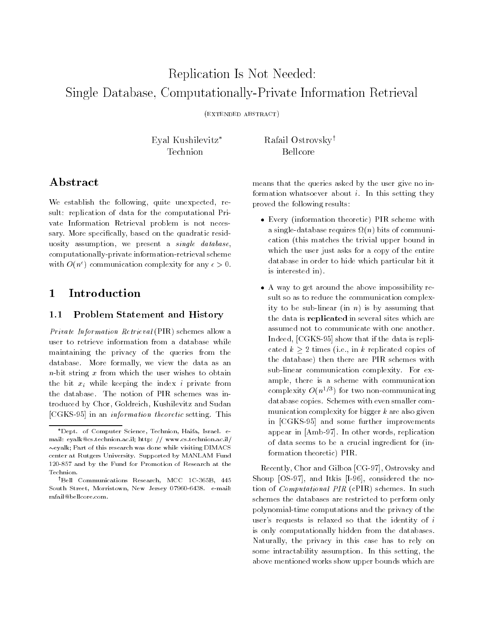# Replication Is Not Needed:Single Database, Computationally-Private Information Retrieval

(extended abstract)

Eyal Kushilevitz\* Rafail Ostrovsky<sup>†</sup>

# Abstract

We establish the following, quite unexpected, result: replication of data for the computational Private Information Retrieval problem is not necessary. More specifically, based on the quadratic residuosity assumption, we present a single database, computationally-private information-retrieval scheme with  $O(n^{\epsilon})$  communication complexity for any  $\epsilon > 0$ .

#### $\mathbf 1$ 1 Introduction

### 1.1 Problem Statement and History

Private Information Retrieval (PIR) schemes allow a user to retrieve information from a database while maintaining the privacy of the queries from the database. More formally, we view the data as an  $n$ -bit string x from which the user wishes to obtain the bit  $x_i$  while keeping the index i private from the database. The notion of PIR schemes was introduced by Chor, Goldreich, Kushilevitz and Sudan [CGKS-95] in an information theoretic setting. This means that the queries asked by the user give no information whatsoever about  $i$ . In this setting they proved the following results:

- Every (information theoretic) PIR scheme with a single-database requires (n) bits of communication (this matches the trivial upper bound in which the user just asks for a copy of the entire database in order to hide which particular bit it is interested in).
- A way to get around the above impossibility result so as to reduce the communication complexity to be sub-linear (in  $n$ ) is by assuming that the data is replicated in several sites which are assumed not to communicate with one another. Indeed, [CGKS-95] show that if the data is replicated k 2 times (i.e., i.e. i.e., i.e., i.e. in k replication the database) then there are PIR schemes with sub-linear communication complexity. For example, there is a scheme with communication complexity  $O(n^{2/3})$  for two non-communicating database copies. Schemes with even smaller com munication complexity for bigger  $k$  are also given in [CGKS-95] and some further improvements appear in [Amb-97]. In other words, replication of data seems to be a crucial ingredient for (information theoretic) PIR.

Recently, Chor and Gilboa [CG-97], Ostrovsky and Shoup [OS-97], and Itkis [I-96], considered the notion of Computational PIR (cPIR) schemes. In such schemes the databases are restricted to perform only polynomial-time computations and the privacy of the user's requests is relaxed so that the identity of  $i$ is only computationally hidden from the databases. Naturally, the privacy in this case has to rely on some intractability assumption. In this setting, the above mentioned works show upper bounds which are

Dept. of Computer Science, Technion, Haifa, Israel. email: eyalk@cs.technion.ac.il; http: // www.cs.technion.ac.il/  $\sim$ eyalk; Part of this research was done while visiting DIMACS center at Rutgers University. Supported by MANLAM Fund 120-857 and by the Fund for Promotion of Research at the Technion.

<sup>&</sup>lt;sup>†</sup>Bell Communications Research, MCC 1C-365B, 445 South Street, Morristown, New Jersey 07960-6438. e-mail: rafail@bellcore.com.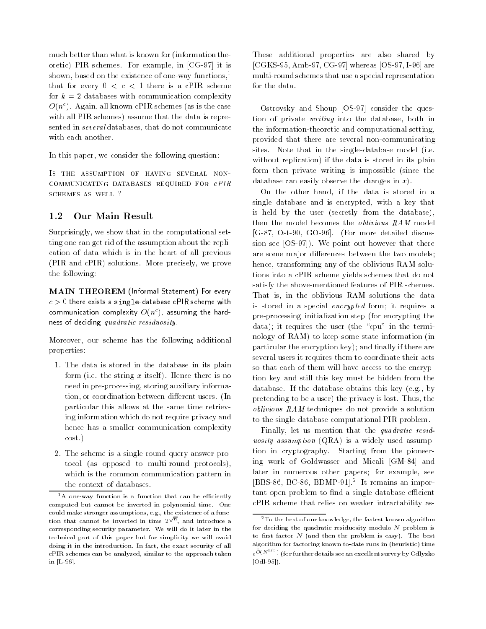much better than what is known for (information theoretic) PIR schemes. For example, in [CG-97] it is shown, based on the existence of one-way functions, $<sup>1</sup>$ </sup> that for every  $0 < c < 1$  there is a cPIR scheme for  $k = 2$  databases with communication complexity  $O(n^c)$ . Again, all known cPIR schemes (as is the case with all PIR schemes) assume that the data is represented in several databases, that do not communicate

In this paper, we consider the following question:

Is the assumption of having several noncommunicating databases required for cPIR schemes as well ?

#### $1.2$ Our Main Result

Surprisingly, we show that in the computational setting one can get rid of the assumption about the replication of data which is in the heart of all previous (PIR and cPIR) solutions. More precisely, we prove the following:

MAIN THEOREM (Informal Statement) For every  $c > 0$  there exists a single-database cPIR scheme with communication complexity  $O(n^c)$ , assuming the hardness of deciding quadratic residuosity.

Moreover, our scheme has the following additional properties:

- 1. The data is stored in the database in its plain form (i.e. the string  $x$  itself). Hence there is no need in pre-processing, storing auxiliary information, or coordination between different users. (In particular this allows at the same time retrieving information which do not require privacy and hence has a smaller communication complexity cost.)
- 2. The scheme is a single-round query-answer protocol (as opposed to multi-round protocols), which is the common communication pattern in the context of databases.

These additional properties are also shared by [CGKS-95, Amb-97, CG-97] whereas [OS-97, I-96] are multi-round schemes that use a special representation for the data.

Ostrovsky and Shoup [OS-97] consider the question of private writing into the database, both in the information-theoretic and computational setting, provided that there are several non-communicating sites. Note that in the single-database model (i.e. without replication) if the data is stored in its plain form then private writing is impossible (since the database can easily observe the changes in  $x$ ).

On the other hand, if the data is stored in a single database and is encrypted, with a key that is held by the user (secretly from the database), then the model becomes the oblivious RAM model [G-87, Ost-90, GO-96]. (For more detailed discussion see [OS-97]). We point out however that there are some major differences between the two models; hence, transforming any of the oblivious RAM solutions into a cPIR scheme yields schemes that do not satisfy the above-mentioned features of PIR schemes. That is, in the oblivious RAM solutions the data is stored in a special encrypted form; it requires a pre-processing initialization step (for encrypting the data); it requires the user (the "cpu" in the terminology of RAM) to keep some state information (in particular the encryption key); and finally if there are several users it requires them to coordinate their acts so that each of them will have access to the encryption key and still this key must be hidden from the database. If the database obtains this key (e.g., by pretending to be a user) the privacy is lost. Thus, the oblivious RAM techniques do not provide a solution to the single-database computational PIR problem.

Finally, let us mention that the quadratic residuosity assumption (QRA) is a widely used assumption in cryptography. Starting from the pioneering work of Goldwasser and Micali [GM-84] and later in numerous other papers; for example, see [BBS-86, BC-86, BDMP-91].2 It remains an important open problem to find a single database efficient cPIR scheme that relies on weaker intractability as-

 $1$ A one-way function is a function that can be efficiently computed but cannot be inverted in polynomial time. One could make stronger assumptions, e.g., the existence of a function that cannot be inverted in time  $2^{\sqrt{n}}$ , and introduce a corresponding security parameter. We will do it later in the technical part of this paper but for simplicity we will avoid doing it in the introduction. In fact, the exact security of all cPIR schemes can be analyzed, similar to the approach taken in [L-96].

<sup>2</sup>To the best of our knowledge, the fastest known algorithm for deciding the quadratic residuosity modulo  $N$  problem is to first factor  $N$  (and then the problem is easy). The best algorithm for factoring known to-date runs in (heuristic) time  $e^{\mathrm{O}(N^{-1-\epsilon})}$  (for further details see an excellent survey by Odlyzko  $-$ [Odl-95]).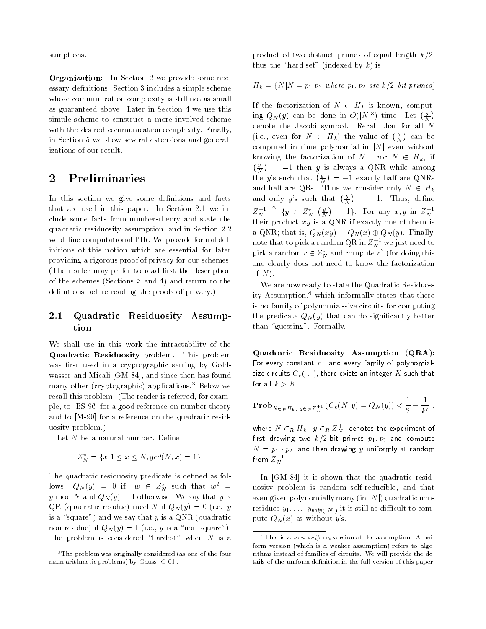sumptions.

Organization: In Section 2 we provide some necessary definitions. Section 3 includes a simple scheme whose communication complexity is still not as small as guaranteed above. Later in Section 4 we use this simple scheme to construct a more involved scheme with the desired communication complexity. Finally, in Section 5 we show several extensions and generalizations of our result.

## 2 Preliminaries

In this section we give some definitions and facts that are used in this paper. In Section 2.1 we include some facts from number-theory and state the quadratic residuosity assumption, and in Section 2.2 we define computational PIR. We provide formal definitions of this notion which are essential for later providing a rigorous proof of privacy for our schemes. (The reader may prefer to read first the description of the schemes (Sections 3 and 4) and return to the definitions before reading the proofs of privacy.)

#### 2.1 Quadratic Residuosity Assumption

We shall use in this work the intractability of the Quadratic Residuosity problem. This problem was first used in a cryptographic setting by Goldwasser and Micali [GM-84], and since then has found many other (cryptographic) applications.3 Below we recall this problem. (The reader is referred, for example, to [BS-96] for a good reference on number theory and to [M-90] for a reference on the quadratic residuosity problem.)

Let  $N$  be a natural number. Define

$$
Z_N^* = \{x | 1 \le x \le N, \gcd(N, x) = 1\}.
$$

The quadratic residuosity predicate is defined as follows:  $Q_N(y) = 0$  if  $\exists w \in Z_N^*$  such that  $w^2 =$ y mod N and  $Q_N(y) = 1$  otherwise. We say that y is QR (quadratic residue) mod N if  $Q_N(y) = 0$  (i.e. y is a "square") and we say that y is a QNR (quadratic non-residue) if  $Q_N(y) = 1$  (i.e., y is a "non-square"). The problem is considered "hardest" when  $N$  is a

product of two distinct primes of equal length  $k/2$ ; thus the "hard set" (indexed by  $k$ ) is

 $H_k = \{N|N = p_1 \cdot p_2 \text{ where } p_1, p_2 \text{ are } k/2 \text{-}bit \text{ primes}\}$ 

If the factorization of  $N \in H_k$  is known, computing  $Q_N(y)$  can be done in  $O(|N|^3)$  time. Let  $(\frac{y}{N})$ denote the Jacobi symbol. Recall that for all N (i.e., even for  $N \in H_k$ ) the value of  $(\frac{y}{N})$  ca computed in time polynomial in  $|N|$  even without knowing the factorization of N. For  $N \in H_k$ , if  $\left( y \right)$  $\sim$  1 then y is always a QNR while among a QNR while among a QNR while among a  $\sim$ the y's such that  $\left(\frac{y}{N}\right)$  =  $\sim$  1 exactly denote the equations of  $\sim$ and half are  $\mathcal{N}$  are  $\mathcal{N}$  are  $\mathcal{N}$  are consider only  $\mathcal{N}$  are consider only  $\mathcal{N}$ and only y's such that  $(\frac{y}{N})$  = = +1. Thus, dene  $Z_N^{+1} \triangleq \{ y \in Z_N^* | (\frac{y}{N}) =$ ) = 1. For any  $x, y$  in  $Z_N^{+1}$ their product  $\mathcal{N}$  is a quantum independent one of the mixture of them is a  $\mathcal{N}$ a QNR; that is,  $Q_N(xy) = Q_N(x) \oplus Q_N(y)$ . Finally, note that to pick a random QR in  $Z_{N}^{++}$  we just need to pick a random  $r\in\mathcal{L}_N^\times$  and compute  $r^*$  (for doing this one clearly does not need to know the factorization of  $N$ ).

We are now ready to state the Quadratic Residuosity Assumption, $<sup>4</sup>$  which informally states that there</sup> is no family of polynomial-size circuits for computing the predicate  $Q_N(y)$  that can do significantly better than "guessing". Formally,

Quadratic Residuosity Assumption (QRA): For every constant  $c$ , and every family of polynomialsize circuits  $C_k(\cdot, \cdot)$  there exists an integer  $K$  such that for all  $k>K$ 

$$
\mathbf{Prob}_{N \in_R H_{k \; ; \; y \in_R Z_N^{+1}}} (C_k(N, y) = Q_N(y)) < \frac{1}{2} + \frac{1}{k^c} \;,
$$

where  $N\,\in_R\,H_k;\,\,y\in_R Z_N^+$  denotes the experiment of rst drawing two k=2-bit primes p1; p2 and compute N = p1 p2, and then drawing <sup>y</sup> uniformly at random from  $Z_{N}^{++}$  . The  $\sim$ 

In [GM-84] it is shown that the quadratic residuosity problem is random self-reducible, and that even given polynomially many (in  $|N|$ ) quadratic nonresidues  $y_1, \ldots, y_{poly(|N|)}$  it is still as difficult to compute  $Q_N(x)$  as without y's.

<sup>3</sup>The problem was originally considered (as one of the four main arithmetic problems) by Gauss [G-01].

<sup>4</sup>This is a non-uniform version of the assumption. A uniform version (which is a weaker assumption) refers to algorithms instead of families of circuits. We will provide the details of the uniform definition in the full version of this paper.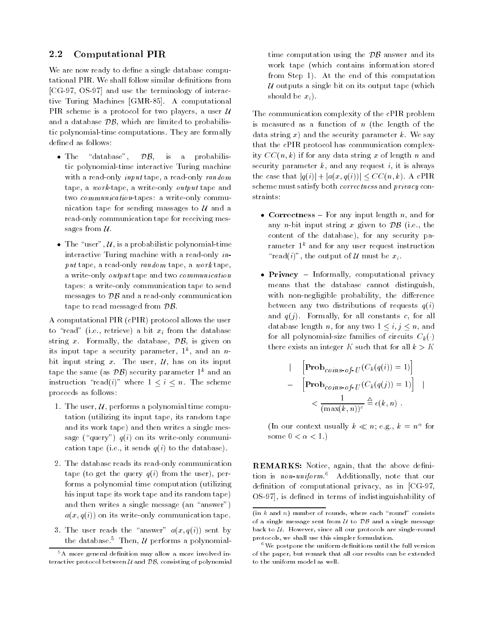#### $2.2$ Computational PIR

We are now ready to define a single database computational PIR. We shall follow similar definitions from [CG-97, OS-97] and use the terminology of interactive Turing Machines [GMR-85]. A computational PIR scheme is a protocol for two players, a user  $\mathcal U$ and a database  $\mathcal{DB}$ , which are limited to probabilistic polynomial-time computations. They are formally defined as follows:

- The "database",  $\mathcal{DB}$ , is a probabilistic polynomial-time interactive Turing machine with a read-only *input* tape, a read-only *random* tape, a work-tape, a write-only output tape and two communication-tapes: a write-only communication tape for sending massages to  $U$  and a read-only communication tape for receiving messages from  $\mathcal U$ .
- The "user",  $U$ , is a probabilistic polynomial-time interactive Turing machine with a read-only input tape, a read-only random tape, a work tape, a write-only output tape and two communication tapes: a write-only communication tape to send messages to  $\mathcal{DB}$  and a read-only communication tape to read messaged from DB.

A computational PIR (cPIR) protocol allows the user to "read" (i.e., retrieve) a bit  $x_i$  from the database string  $x$ . Formally, the database,  $\mathcal{DB}$ , is given on its input tape a security parameter,  $1^{\circ}$ , and an  $n$ bit input string x. The user,  $\mathcal{U}$ , has on its input tape the same (as  $\mathcal{DB}$ ) security parameter  $1^k$  and an instruction "read(i)" where  $1 \le i \le n$ . The scheme proceeds as follows:

- 1. The user,  $U$ , performs a polynomial time computation (utilizing its input tape, its random tape and its work tape) and then writes a single message ("query")  $q(i)$  on its write-only communication tape (i.e., it sends  $q(i)$  to the database).
- 2. The database reads its read-only communication tape (to get the query  $q(i)$  from the user), performs a polynomial time computation (utilizing his input tape its work tape and its random tape) and then writes a single message (an "answer")  $a(x, q(i))$  on its write-only communication tape.
- 3. The user reads the "answer"  $a(x; q(i))$  sent by the database.<sup>5</sup> Then,  $U$  performs a polynomial-

time computation using the  $\mathcal{DB}$  answer and its work tape (which contains information stored from Step 1). At the end of this computation U outputs a single bit on its output tape (which should be  $x_i$ ).

The communication complexity of the cPIR problem is measured as a function of  $n$  (the length of the data string  $x$ ) and the security parameter  $k$ . We say that the cPIR protocol has communication complexity  $CC(n, k)$  if for any data string x of length n and security parameter  $k$ , and any request  $i$ , it is always the case that  $|q(i)| + |a(x, q(i))| \leq CC(n, k)$ . A cPIR scheme must satisfy both correctness and privacy constraints:

- Correctness  $-$  For any input length n, and for any *n*-bit input string x given to  $\mathcal{DB}$  (i.e., the content of the database), for any security parameter  $1^k$  and for any user request instruction "read(i)", the output of U must be  $x_i$ .
- $\bullet$  Privacy Informally, computational privacy means that the database cannot distinguish, with non-negligible probability, the difference between any two distributions of requests  $q(i)$ and  $q(j)$ . Formally, for all constants c, for all database length n, for any two  $1 \leq i, j \leq n$ , and for all polynomial-size families of circuits  $C_k(\cdot)$ there exists an integer K such that for all  $k > K$

$$
\begin{aligned}\n| \quad & \left[ \mathbf{Prob}_{coins-of-U}(C_k(q(i)) = 1) \right] \\
& \quad - \quad \left[ \mathbf{Prob}_{coins-of-U}(C_k(q(j)) = 1) \right] \\
& \quad \times \frac{1}{(\max(k, n))^c} \stackrel{\Delta}{=} \epsilon(k, n)\n\end{aligned}
$$

(in our context usually  $\kappa \ll n$ ; e.g.,  $\kappa = n^{-}$  for some  $0 < \alpha < 1$ .)

REMARKS: Notice, again, that the above definition is *non-uniform*.<sup>6</sup> Additionally, note that our definition of computational privacy, as in  $[CG-97,$ OS-97], is defined in terms of indistinguishability of

 $5A$  more general definition may allow a more involved interactive protocol between  $U$  and  $\mathcal{DB}$ , consisting of polynomial

 $(in k and n)$  number of rounds, where each "round" consists of a single message sent from  $U$  to  $\overline{DB}$  and a single message back to  $U$ . However, since all our protocols are single-round protocols, we shall use this simpler formulation.

 $6$ We postpone the uniform definitions until the full version of the paper, but remark that all our results can be extended to the uniform model as well.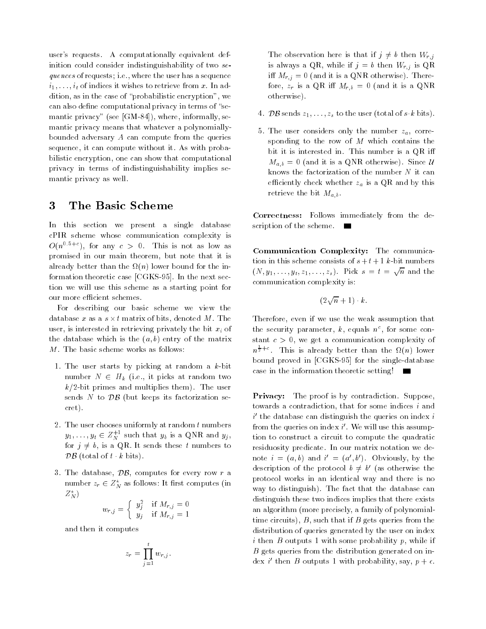user's requests. A computationally equivalent definition could consider indistinguishability of two sequences of requests; i.e., where the user has a sequence  $i_1, \ldots, i_t$  of indices it wishes to retrieve from x. In addition, as in the case of \probabilistic encryption", we can also define computational privacy in terms of "semantic privacy" (see [GM-84]), where, informally, se mantic privacy means that whatever a polynomiallybounded adversary A can compute from the queries sequence, it can compute without it. As with probabilistic encryption, one can show that computational privacy in terms of indistinguishability implies se mantic privacy as well.

### 3 The Basic Scheme

In this section we present a single database cPIR scheme whose communication complexity is  $O(n^{0.5+\epsilon})$ , for any  $\epsilon > 0$ . This is not as low as promised in our main theorem, but note that it is already better thank the in-pity formed bound for the information theoretic case [CGKS-95]. In the next section we will use this scheme as a starting point for our more efficient schemes.

For describing our basic scheme we view the database x as a s - t matrix of bits, denoted M. The s - t matrix of bits, denoted M. The s - t matrix of bits, user, is interested in retrieving privately the bit  $x_i$  of the database which is the  $(a, b)$  entry of the matrix M. The basic scheme works as follows:

- 1. The user starts by picking at random a  $k$ -bit number 1 2 Hk (i.e., i.e., picket at random two two  $k/2$ -bit primes and multiplies them). The user sends to data (but keeps its factorization se cret).
- 2. The user chooses uniformly at random  $t$  numbers  $y_1,\ldots,y_t\in Z_N^+$  such that  $y_b$  is a QNR and  $y_j$  , for  $j \neq b$ , is a QR. It sends these t numbers to  $\mathcal{DB}$  (total of t k bits).
- 3. The database,  $\mathcal{DB}$ , computes for every row r a number  $z_r \in \mathbb{Z}_N^{\star}$  as follows: It first computes (in  $Z_N^{\star}$ )

$$
w_{r,j} = \begin{cases} y_j^2 & \text{if } M_{r,j} = 0\\ y_j & \text{if } M_{r,j} = 1 \end{cases}
$$

and then it computes

$$
z_r = \prod_{j=1}^t w_{r,j}.
$$

The observation here is that if  $j \neq b$  then  $W_{r,j}$ is always a QR, while if  $j = b$  then  $W_{r,j}$  is QR iff  $M_{r,j} = 0$  (and it is a QNR otherwise). Therefore,  $z_r$  is a QR iff  $M_{r,b} = 0$  (and it is a QNR otherwise).

- 4. DB sends z1; : : :;zs to the user (total of sk bits).
- 5. The user considers only the number  $z_a$ , corresponding to the row of  $M$  which contains the bit it is interested in. This number is a QR i  $M_{a,b} = 0$  (and it is a QNR otherwise). Since U knows the factorization of the number  $N$  it can efficiently check whether  $z_a$  is a QR and by this retrieve the bit  $M_{a,b}$ .

Correctness: Follows immediately from the description of the scheme.  $\blacksquare$ 

Communication Complexity: The communication in this scheme consists of  $s + t + 1$  k-bit numbers  $(N, y_1, \ldots, y_t, z_1, \ldots, z_s)$ . Pick  $s = t = \sqrt{n}$  and the communication complexity is:

$$
(2\sqrt{n}+1)\cdot k
$$

Therefore, even if we use the weak assumption that the security parameter,  $\kappa$ , equals  $n^{\epsilon}$ , for some constant  $c > 0$ , we get a communication complexity of  $n^{\frac{1}{2}+\epsilon}$ . This is already better than the  $\Omega(n)$  lower bound proved in [CGKS-95] for the single-database case in the information theoretic setting!

**Privacy:** The proof is by contradiction. Suppose, towards a contradiction, that for some indices  $i$  and  $\imath$  the database can distinguish the queries on index  $\imath$  $1$  rom the queries on index  $\imath$  . We will use this assumption to construct a circuit to compute the quadratic residuosity predicate. In our matrix notation we denote  $i = (a, b)$  and  $i = (a, b)$ . Obviously, by the description of the protocol  $b \neq b$  (as otherwise the protocol works in an identical way and there is no way to distinguish). The fact that the database can distinguish these two indices implies that there exists an algorithm (more precisely, a family of polynomialtime circuits),  $B$ , such that if  $B$  gets queries from the distribution of queries generated by the user on index i then  $B$  outputs 1 with some probability  $p$ , while if B gets queries from the distribution generated on index  $\imath$  then  $D$  outputs 1 with probability, say,  $p+\epsilon$ .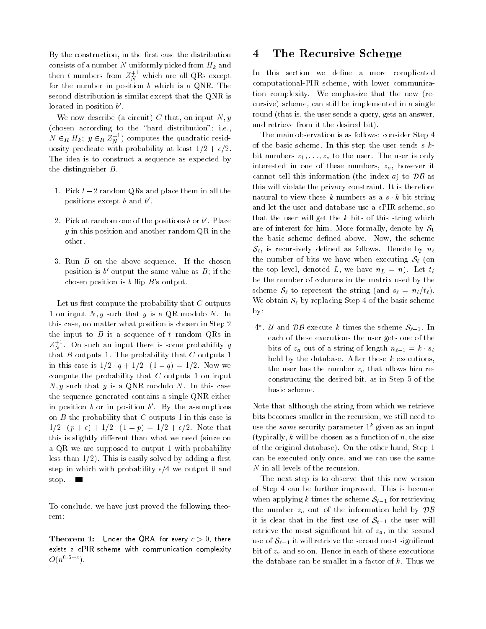By the construction, in the first case the distribution consists of a number N uniformly picked from  $H_k$  and then  $t$  numbers from  $Z_{N}^{++}$  which are all QRs except  $\hspace{0.1mm}$ for the number in position  $b$  which is a QNR. The second distribution is similar except that the QNR is located in position  $\mathit{b}$  .  $\hphantom{b}$ 

We now describe (a circuit) C that, on input  $N, y$ (chosen according to the "hard distribution"; i.e.,  $N \in_R H_k; \; y \in_R Z_N^{++}$  ) computes the quadratic residuosity predicate with probability at least  $1/2 + \epsilon/2$ . The idea is to construct a sequence as expected by the distinguisher B.

- 1. Pick  $t-2$  random QRs and place them in all the positions except b and b 0.
- $\boldsymbol{z}$  . Pick at random one of the positions  $\boldsymbol{\theta}$  or  $\boldsymbol{\theta}$  . Place  $y$  in this position and another random QR in the other.
- 3. Run  $B$  on the above sequence. If the chosen position is  $\theta$  output the same value as  $D$ ; if the chosen position is  $b$  flip  $B$ 's output.

Let us first compute the probability that  $C$  outputs 1 on input  $N, y$  such that y is a QR modulo N. In this case, no matter what position is chosen in Step 2 the input to  $B$  is a sequence of  $t$  random QRs in  $Z_{N}^{++}$  . On such an input there is some probability  $q$ that  $B$  outputs 1. The probability that  $C$  outputs 1 in this case is  $1/2 \cdot q + 1/2 \cdot (1 - q) = 1/2$ . Now we compute the probability that  $C$  outputs 1 on input  $N, y$  such that y is a QNR modulo N. In this case the sequence generated contains a single QNR either in position  $\theta$  or in position  $\theta$  . By the assumptions on  $B$  the probability that  $C$  outputs 1 in this case is  $\frac{1}{2}$  ,  $\frac{1}{2}$  ,  $\frac{1}{2}$  ,  $\frac{1}{2}$  ,  $\frac{1}{2}$  ,  $\frac{1}{2}$  ,  $\frac{1}{2}$  ,  $\frac{1}{2}$  ,  $\frac{1}{2}$  ,  $\frac{1}{2}$  ,  $\frac{1}{2}$  ,  $\frac{1}{2}$  ,  $\frac{1}{2}$  ,  $\frac{1}{2}$  ,  $\frac{1}{2}$  ,  $\frac{1}{2}$  ,  $\frac{1}{2}$  ,  $\frac{1}{2}$  ,  $\frac{1$ this is slightly different than what we need (since on a QR we are supposed to output 1 with probability less than  $1/2$ ). This is easily solved by adding a first step in which with probability  $\epsilon/4$  we output 0 and stop. **The State** 

To conclude, we have just proved the following theorem:

**Theorem 1:** Under the QRA, for every  $c > 0$ , there exists a cPIR scheme with communication complexity  $O(n^{0.5+\epsilon}).$ 

#### The Recursive Scheme 4

In this section we define a more complicated computational-PIR scheme, with lower communication complexity. We emphasize that the new (recursive) scheme, can still be implemented in a single round (that is, the user sends a query, gets an answer, and retrieve from it the desired bit).

The main observation is as follows: consider Step 4 of the basic scheme. In this step the user sends  $s$   $k$ bit numbers  $z_1, \ldots, z_s$  to the user. The user is only interested in one of these numbers,  $z_a$ , however it cannot tell this information (the index a) to  $\mathcal{DB}$  as this will violate the privacy constraint. It is therefore natural to view these  $k$  numbers as a  $s \cdot k$  bit string and let the user and database use a cPIR scheme, so that the user will get the  $k$  bits of this string which are of interest for him. More formally, denote by  $S_1$ the basic scheme defined above. Now, the scheme  $S_{\ell}$ , is recursively defined as follows. Denote by  $n_{\ell}$ the number of bits we have when executing  $S_\ell$  (on the top level, denoted L, we have  $n_L = n$ ). Let  $t_\ell$ be the number of columns in the matrix used by the scheme Song to represent the string (and string the string term in the string term in the string term in the s We obtain  $S_\ell$  by replacing Step 4 of the basic scheme by:

 $4^{\circ}$ . U and DB execute  $\kappa$  times the scheme  $\mathcal{S}_{\ell-1}$ . In each of these executions the user gets one of the bits of  $z_a$  out of a string of length  $n_{\ell-1} = k \cdot s_\ell$ held by the database. After these  $k$  executions, the user has the number  $z_a$  that allows him reconstructing the desired bit, as in Step 5 of the basic scheme.

Note that although the string from which we retrieve bits becomes smaller in the recursion, we still need to use the same security parameter  $1^k$  given as an input (typically, k will be chosen as a function of  $n$ , the size of the original database). On the other hand, Step 1 can be executed only once, and we can use the same N in all levels of the recursion.

The next step is to observe that this new version of Step 4 can be further improved. This is because when applying k times the scheme  $\mathcal{S}_{\ell-1}$  for retrieving the number  $z_a$  out of the information held by  $\mathcal{DB}$ it is clear that in the first use of  $S_{\ell-1}$  the user will retrieve the most significant bit of  $z_a$ , in the second use of  $S_{\ell-1}$  it will retrieve the second most significant bit of  $z_a$  and so on. Hence in each of these executions the database can be smaller in a factor of  $k$ . Thus we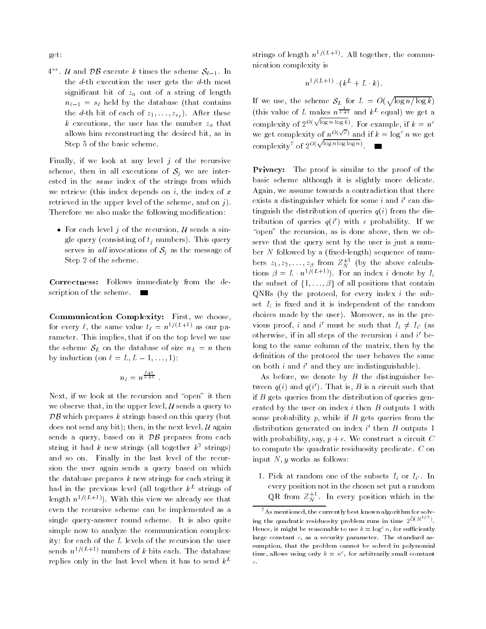get:

 $4^{\circ\circ}$ . *U* and *DB* execute *k* times the scheme  $S_{\ell-1}$ . In the  $d$ -th execution the user gets the  $d$ -th most significant bit of  $z_a$  out of a string of length  $n_{\ell-1} = s_{\ell}$  held by the database (that contains the d-th bit of each of  $z_1, \ldots, z_{s_\ell}$ ). After these k executions, the user has the number  $z_a$  that allows him reconstructing the desired bit, as in Step 5 of the basic scheme.

Finally, if we look at any level  $j$  of the recursive scheme, then in all executions of  $S_j$  we are interested in the same index of the strings from which we retrieve (this index depends on  $i$ , the index of  $x$ retrieved in the upper level of the scheme, and on  $j$ . Therefore we also make the following modification:

• For each level j of the recursion,  $U$  sends a single query (consisting of  $t_i$  numbers). This query serves in all invocations of  $S_i$  as the message of Step 2 of the scheme.

Correctness: Follows immediately from the description of the scheme.  $\blacksquare$ 

Communication Complexity: First, we choose, for every  $\ell$ , the same value  $t_{\ell} = n^{1/(L+1)}$  as our parameter. This implies, that if on the top level we use the scheme  $S_L$  on the database of size  $n_L = n$  then by induction (on  $\ell = L, L - 1, \ldots, 1$ ):

$$
n_\ell = n^{\frac{\ell+1}{L+1}}.
$$

Next, if we look at the recursion and "open" it then we observe that, in the upper level,  $\mathcal U$  sends a query to  $\mathcal{DB}$  which prepares k strings based on this query (but does not send any bit); then, in the next level,  $\mathcal U$  again sends a query, based on it  $\mathcal{DB}$  prepares from each string it had  $k$  new strings (all together  $k^{\ast}$  strings)  $$ and so on. Finally in the last level of the recursion the user again sends a query based on which the database prepares  $k$  new strings for each string it  $\max$  in the previous level (all together  $\kappa$  –strings of – length  $n^{1/(L+1)}$ ). With this view we already see that even the recursive scheme can be implemented as a single query-answer round scheme. It is also quite simple now to analyze the communication complexity: for each of the L levels of the recursion the user sends  $n^{1/(L+1)}$  numbers of k bits each. The database replies only in the last level when it has to send  $k^L$ 

strings of length  $n^{1/(L+1)}$ . All together, the communication complexity is

$$
n^{1/(L+1)} \cdot (k^L + L \cdot k).
$$

If we use, the scheme  $S_L$  for  $L = O(\sqrt{\log n/\log k})$ (this value of L makes  $n^{\frac{1}{L+1}}$  and  $k^L$  equal) we get a complexity of  $2^{O(\sqrt{\log n \cdot \log k})}$ . For example, if  $k = n^c$ we get complexity of  $n^{O(\sqrt{c})}$  and if  $k = \log^c n$  we get complexity<sup>7</sup> of  $2^{O(\sqrt{\log n \log \log n})}$  .

Privacy: The proof is similar to the proof of the basic scheme although it is slightly more delicate. Again, we assume towards a contradiction that there exists a distinguisher which for some  $i$  and  $i$  -can distinguish the distribution of queries  $q(i)$  from the dis $t$ ribution of queries  $q(t)$  with  $\epsilon$  probability. If we " $open"$  the recursion, as is done above, then we observe that the query sent by the user is just a number  $N$  followed by a (fixed-length) sequence of numbers  $z_1, z_2, \ldots, z_\beta$  from  $Z_N^{++}$  (by the above calculations  $\beta = L \cdot n^{1/(2+1)}$ . For an index i denote by  $I_i$ the subset of  $\{1, \ldots, \beta\}$  of all positions that contain  $QNRs$  (by the protocol, for every index i the subset  $I_i$  is fixed and it is independent of the random choices made by the user). Moreover, as in the previous proof, and a must be such that  $I_i \neq I_{i'}$  (as otherwise, if in all steps of the recursion  $\imath$  and  $\imath$  -belong to the same column of the matrix, then by the definition of the protocol the user behaves the same on both  $\imath$  and and they are indistinguishable).

As before, we denote by  $B$  the distinguisher between  $q(i)$  and  $q(i)$ . That is,  $D$  is a circuit such that if  $B$  gets queries from the distribution of queries generated by the user on index  $i$  then  $B$  outputs 1 with some probability  $p$ , while if  $B$  gets queries from the distribution generated on index  $\imath$  , then  $B$  outputs  $1$ with probability, say,  $p + \epsilon$ . We construct a circuit C to compute the quadratic residuosity predicate. C on input  $N, y$  works as follows:

1. Pick at random one of the subsets  $I_i$  or  $I_{i'}$ . In every position not in the chosen set put a random QR from  $Z_N^{++}$  . In every position which in the

 $7$ As mentioned, the currently best known algorithm for solving the quadratic residuosity problem runs in time  $2^{O(N^2/3)}$ . Hence, it might be reasonable to use  $k = \log^c n$ , for sufficiently large constant c, as a security parameter. The standard assumption, that the problem cannot be solved in polynomial time, allows using only  $\kappa = n^2$ , for arbitrarily small constant c.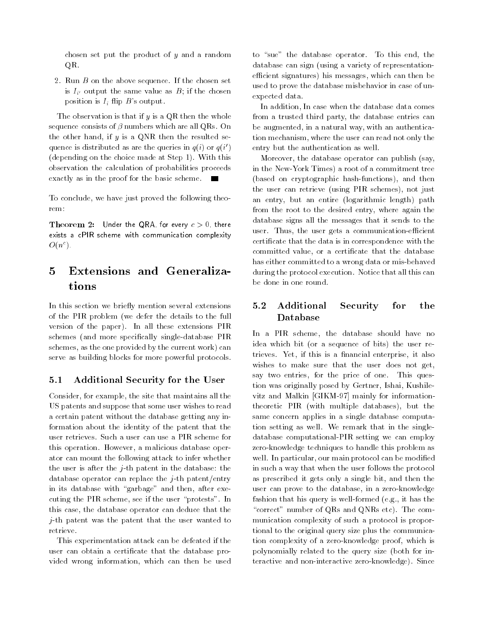chosen set put the product of y and a random QR.

2. Run B on the above sequence. If the chosen set is  $I_{i'}$  output the same value as B; if the chosen position is  $I_i$  flip  $B$ 's output.

The observation is that if  $y$  is a QR then the whole sequence consists of  $\beta$  numbers which are all QRs. On the other hand, if  $y$  is a QNR then the resulted sequence is distributed as are the queries in  $q(i)$  or  $q(i)$ (depending on the choice made at Step 1). With this observation the calculation of probabilities proceeds exactly as in the proof for the basic scheme.

To conclude, we have just proved the following theorem:

**Theorem 2:** Under the QRA, for every  $c > 0$ , there exists a cPIR scheme with communication complexity  $O(n^c)$ .

### 5 5 Extensions and Generalizations

In this section we briefly mention several extensions of the PIR problem (we defer the details to the full version of the paper). In all these extensions PIR schemes (and more specically single-database PIR schemes, as the one provided by the current work) can serve as building blocks for more powerful protocols.

### 5.1 Additional Security for the User

Consider, for example, the site that maintains all the US patents and suppose that some user wishes to read a certain patent without the database getting any information about the identity of the patent that the user retrieves. Such a user can use a PIR scheme for this operation. However, a malicious database operator can mount the following attack to infer whether the user is after the  $j$ -th patent in the database: the database operator can replace the  $j$ -th patent/entry in its database with "garbage" and then, after executing the PIR scheme, see if the user \protests". In this case, the database operator can deduce that the j-th patent was the patent that the user wanted to retrieve.

This experimentation attack can be defeated if the user can obtain a certificate that the database provided wrong information, which can then be used to "sue" the database operator. To this end, the database can sign (using a variety of representationefficient signatures) his messages, which can then be used to prove the database misbehavior in case of unexpected data.

In addition, In case when the database data comes from a trusted third party, the database entries can be augmented, in a natural way, with an authentication mechanism, where the user can read not only the entry but the authentication as well.

Moreover, the database operator can publish (say, in the New-York Times) a root of a commitment tree (based on cryptographic hash-functions), and then the user can retrieve (using PIR schemes), not just an entry, but an entire (logarithmic length) path from the root to the desired entry, where again the database signs all the messages that it sends to the user. Thus, the user gets a communication-efficient certicate that the data is in correspondence with the committed value, or a certicate that the database has either committed to a wrong data or mis-behaved during the protocol execution. Notice that all this can be done in one round.

#### $5.2$ Additional Security for the Database

In a PIR scheme, the database should have no idea which bit (or a sequence of bits) the user retrieves. Yet, if this is a financial enterprise, it also wishes to make sure that the user does not get, say two entries, for the price of one. This question was originally posed by Gertner, Ishai, Kushilevitz and Malkin [GIKM-97] mainly for informationtheoretic PIR (with multiple databases), but the same concern applies in a single database computation setting as well. We remark that in the singledatabase computational-PIR setting we can employ zero-knowledge techniques to handle this problem as well. In particular, our main protocol can be modified in such a way that when the user follows the protocol as prescribed it gets only a single bit, and then the user can prove to the database, in a zero-knowledge fashion that his query is well-formed (e.g., it has the "correct" number of QRs and QNRs etc). The communication complexity of such a protocol is proportional to the original query size plus the communication complexity of a zero-knowledge proof, which is polynomially related to the query size (both for interactive and non-interactive zero-knowledge). Since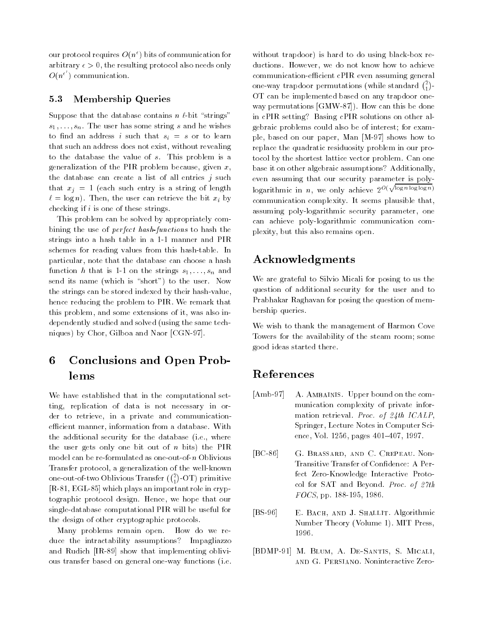our protocol requires  $O(n^{\epsilon})$  bits of communication for arbitrary  $\epsilon > 0$ , the resulting protocol also needs only  $O(n^{\epsilon})$  communication.

### 5.3 Membership Queries

Suppose that the database contains  $n \ell$ -bit "strings" s ; ; : : ; ;  $\mu$  ; ; which distributes some string s and he wishes and  $\mu$ to find an address i such that  $s_i = s$  or to learn that such an address does not exist, without revealing to the database the value of s. This problem is a generalization of the PIR problem because, given  $x$ , the database can create a list of all entries  $j$  such that  $x_j = 1$  (each such entry is a string of length  $\ell = \log n$ ). Then, the user can retrieve the bit  $x_i$  by checking if  $i$  is one of these strings.

This problem can be solved by appropriately combining the use of perfect hash-functions to hash the strings into a hash table in a 1-1 manner and PIR schemes for reading values from this hash-table. In particular, note that the database can choose a hash function h that is 1-1 on the strings  $s_1, \ldots, s_n$  and send its name (which is "short") to the user. Now the strings can be stored indexed by their hash-value, hence reducing the problem to PIR. We remark that this problem, and some extensions of it, was also independently studied and solved (using the same techniques) by Chor, Gilboa and Naor [CGN-97].

### 6 6 Conclusions and Open Problems

We have established that in the computational setting, replication of data is not necessary in order to retrieve, in a private and communicationefficient manner, information from a database. With the additional security for the database (i.e., where the user gets only one bit out of  $n$  bits) the PIR model can be re-formulated as one-out-of-n Oblivious Transfer protocol, a generalization of the well-known one-out-of-two Oblivious Transfer  $\binom{2}{1}$ -OT) primitive [R-81, EGL-85] which plays an important role in cryptographic protocol design. Hence, we hope that our single-database computational PIR will be useful for the design of other cryptographic protocols.

Many problems remain open. How do we reduce the intractability assumptions? Impagliazzo and Rudich [IR-89] show that implementing oblivious transfer based on general one-way functions (i.e.

without trapdoor) is hard to do using black-box reductions. However, we do not know how to achieve communication-efficient cPIR even assuming general one-way trapdoor permutations (while standard  $\binom{2}{1}$ -OT can be implemented based on any trapdoor one way permutations [GMW-87]). How can this be done in cPIR setting? Basing cPIR solutions on other algebraic problems could also be of interest; for example, based on our paper, Man [M-97] shows how to replace the quadratic residuosity problem in our protocol by the shortest lattice vector problem. Can one base it on other algebraic assumptions? Additionally, even assuming that our security parameter is polylogarithmic in n, we only achieve  $2^{O(\sqrt{\log n \log \log n})}$ communication complexity. It seems plausible that, assuming poly-logarithmic security parameter, one can achieve poly-logarithmic communication complexity, but this also remains open.

# Acknowledgments

We are grateful to Silvio Micali for posing to us the question of additional security for the user and to Prabhakar Raghavan for posing the question of membership queries.

We wish to thank the management of Harmon Cove Towers for the availability of the steam room; some good ideas started there.

# References

- [Amb-97] A. AMBAINIS. Upper bound on the communication complexity of private information retrieval. Proc. of 24th ICALP, Springer, Lecture Notes in Computer Science, Vol. 1256, pages 401-407, 1997.
- [BC-86] G. Brassard, and C. Crepeau. Non-Transitive Transfer of Confidence: A Perfect Zero-Knowledge Interactive Protocol for SAT and Beyond. Proc. of 27th FOCS, pp. 188-195, 1986.
- [BS-96] E. BACH, AND J. SHALLIT. Algorithmic Number Theory (Volume 1). MIT Press, 1996.
- [BDMP-91] M. Blum, A. De-Santis, S. Micali, and G. Persiano. Noninteractive Zero-